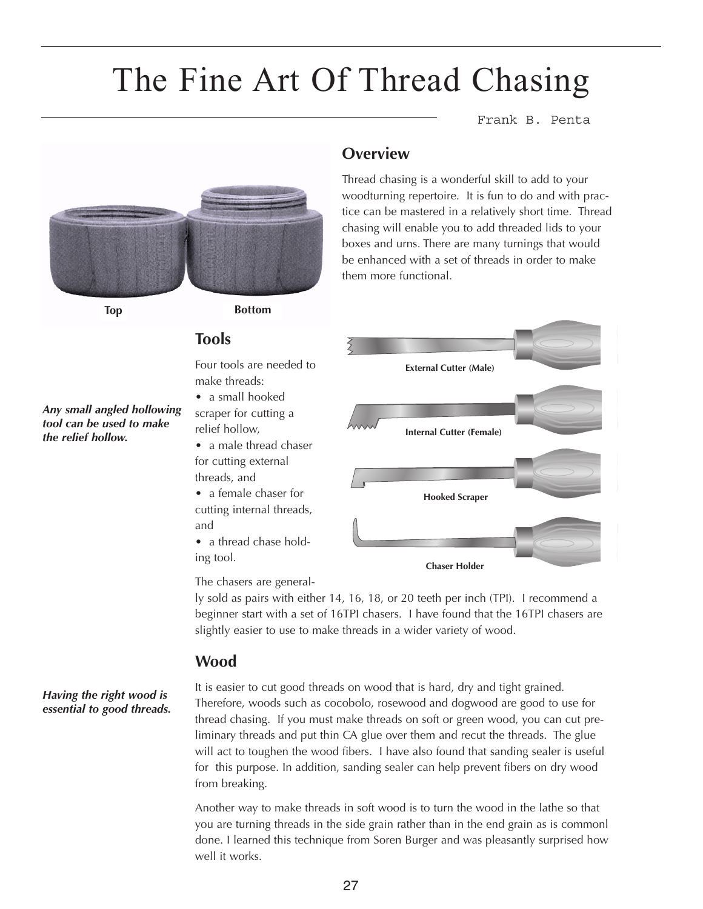# The Fine Art Of Thread Chasing

**Overview**

them more functional.

Frank B. Penta



**Top Bottom**

#### **Tools**

Four tools are needed to make threads:

- a small hooked scraper for cutting a relief hollow,
- a male thread chaser for cutting external threads, and
- a female chaser for cutting internal threads, and
- a thread chase holding tool.



Thread chasing is a wonderful skill to add to your woodturning repertoire. It is fun to do and with practice can be mastered in a relatively short time. Thread chasing will enable you to add threaded lids to your boxes and urns. There are many turnings that would be enhanced with a set of threads in order to make

The chasers are general-

ly sold as pairs with either 14, 16, 18, or 20 teeth per inch (TPI). I recommend a beginner start with a set of 16TPI chasers. I have found that the 16TPI chasers are slightly easier to use to make threads in a wider variety of wood.

#### **Wood**

*Having the right wood is essential to good threads.* It is easier to cut good threads on wood that is hard, dry and tight grained. Therefore, woods such as cocobolo, rosewood and dogwood are good to use for thread chasing. If you must make threads on soft or green wood, you can cut preliminary threads and put thin CA glue over them and recut the threads. The glue will act to toughen the wood fibers. I have also found that sanding sealer is useful for this purpose. In addition, sanding sealer can help prevent fibers on dry wood from breaking.

Another way to make threads in soft wood is to turn the wood in the lathe so that you are turning threads in the side grain rather than in the end grain as is commonl done. I learned this technique from Soren Burger and was pleasantly surprised how well it works.

*Any small angled hollowing tool can be used to make the relief hollow.*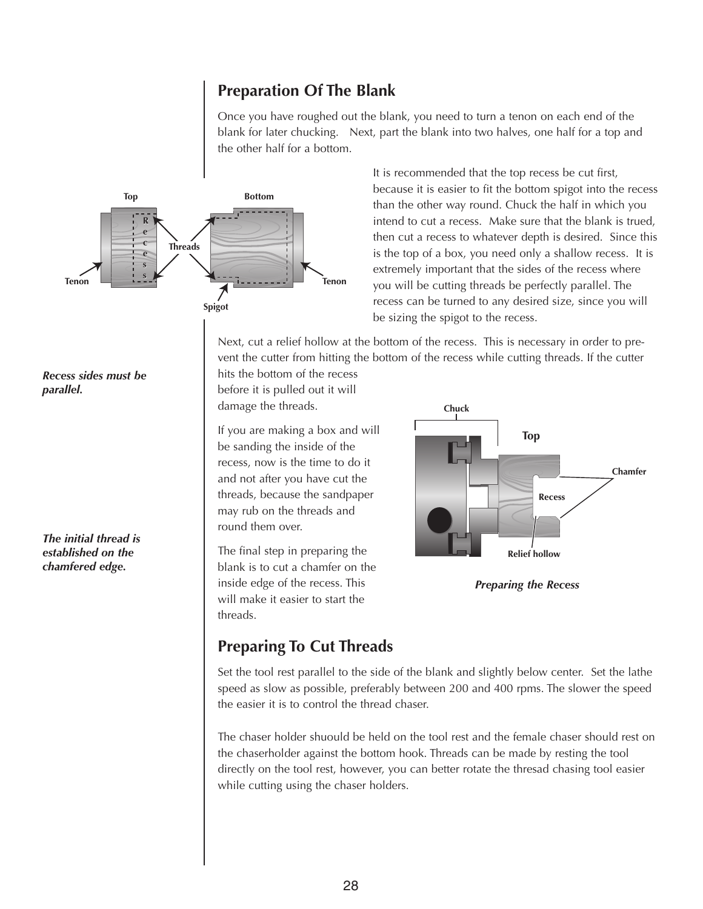#### **Preparation Of The Blank**

Once you have roughed out the blank, you need to turn a tenon on each end of the blank for later chucking. Next, part the blank into two halves, one half for a top and the other half for a bottom.



It is recommended that the top recess be cut first, because it is easier to fit the bottom spigot into the recess than the other way round. Chuck the half in which you intend to cut a recess. Make sure that the blank is trued, then cut a recess to whatever depth is desired. Since this is the top of a box, you need only a shallow recess. It is extremely important that the sides of the recess where you will be cutting threads be perfectly parallel. The recess can be turned to any desired size, since you will be sizing the spigot to the recess.

Next, cut a relief hollow at the bottom of the recess. This is necessary in order to prevent the cutter from hitting the bottom of the recess while cutting threads. If the cutter

hits the bottom of the recess before it is pulled out it will damage the threads.

If you are making a box and will be sanding the inside of the recess, now is the time to do it and not after you have cut the threads, because the sandpaper may rub on the threads and round them over.

The final step in preparing the blank is to cut a chamfer on the inside edge of the recess. This will make it easier to start the threads.



*Preparing the Recess*

### **Preparing To Cut Threads**

Set the tool rest parallel to the side of the blank and slightly below center. Set the lathe speed as slow as possible, preferably between 200 and 400 rpms. The slower the speed the easier it is to control the thread chaser.

The chaser holder shuould be held on the tool rest and the female chaser should rest on the chaserholder against the bottom hook. Threads can be made by resting the tool directly on the tool rest, however, you can better rotate the thresad chasing tool easier while cutting using the chaser holders.

#### *Recess sides must be parallel.*

*The initial thread is established on the chamfered edge.*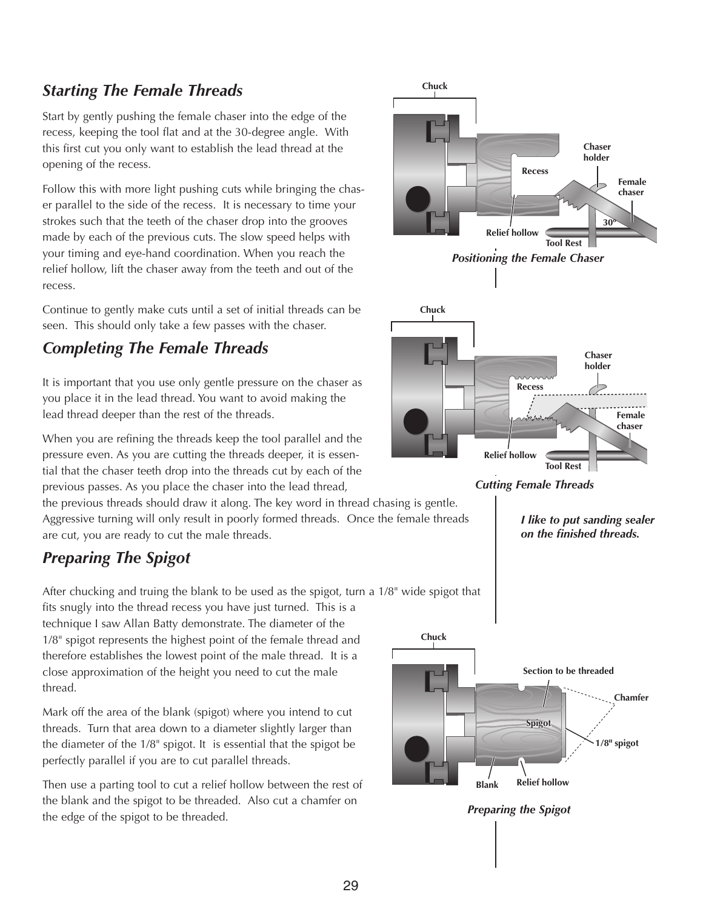#### *Starting The Female Threads*

Start by gently pushing the female chaser into the edge of the recess, keeping the tool flat and at the 30-degree angle. With this first cut you only want to establish the lead thread at the opening of the recess.

Follow this with more light pushing cuts while bringing the chaser parallel to the side of the recess. It is necessary to time your strokes such that the teeth of the chaser drop into the grooves made by each of the previous cuts. The slow speed helps with your timing and eye-hand coordination. When you reach the relief hollow, lift the chaser away from the teeth and out of the recess.

Continue to gently make cuts until a set of initial threads can be seen. This should only take a few passes with the chaser.

#### *Completing The Female Threads*

It is important that you use only gentle pressure on the chaser as you place it in the lead thread. You want to avoid making the lead thread deeper than the rest of the threads.

When you are refining the threads keep the tool parallel and the pressure even. As you are cutting the threads deeper, it is essential that the chaser teeth drop into the threads cut by each of the previous passes. As you place the chaser into the lead thread,

the previous threads should draw it along. The key word in thread chasing is gentle. Aggressive turning will only result in poorly formed threads. Once the female threads are cut, you are ready to cut the male threads.

## *Preparing The Spigot*

After chucking and truing the blank to be used as the spigot, turn a 1/8" wide spigot that

fits snugly into the thread recess you have just turned. This is a technique I saw Allan Batty demonstrate. The diameter of the 1/8" spigot represents the highest point of the female thread and therefore establishes the lowest point of the male thread. It is a close approximation of the height you need to cut the male thread.

Mark off the area of the blank (spigot) where you intend to cut threads. Turn that area down to a diameter slightly larger than the diameter of the 1/8" spigot. It is essential that the spigot be perfectly parallel if you are to cut parallel threads.

Then use a parting tool to cut a relief hollow between the rest of the blank and the spigot to be threaded. Also cut a chamfer on the edge of the spigot to be threaded.



*Cutting Female Threads*

*I like to put sanding sealer on the finished threads.*